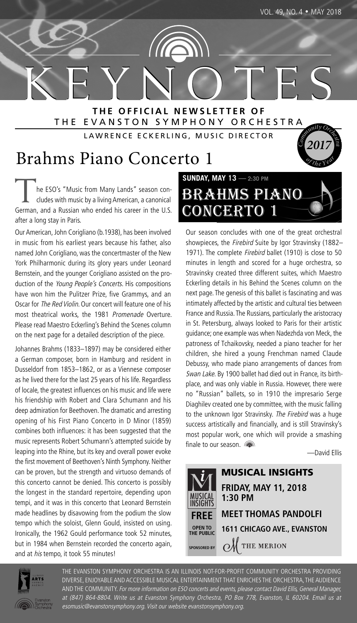**<sup>o</sup>f <sup>t</sup>h<sup>e</sup> <sup>Y</sup>ea<sup>r</sup>**

**2017 <sup>C</sup>**

K E Y N O T E S **T H E O F F I C I A L N E W S L E T T E R O F** THE EVANSTON SYMPHONY ORCHESTRA **c**<br>**c**<br>**c**<br>**c**<br>**c**<br>**c**<br>**c**<br>**c**<br>**c**<br>**c** 

LAWRENCE ECKERLING, MUSIC DIRECTOR

## Brahms Piano Concerto 1

he ESO's "Music from Many Lands" season concludes with music by a living American, a canonical German, and a Russian who ended his career in the U.S. after a long stay in Paris.

Our American, John Corigliano (b.1938), has been involved in music from his earliest years because his father, also named John Corigliano, was the concertmaster of the New York Philharmonic during its glory years under Leonard Bernstein, and the younger Corigliano assisted on the production of the Young People's Concerts. His compositions have won him the Pulitzer Prize, five Grammys, and an Oscar for The Red Violin. Our concert will feature one of his most theatrical works, the 1981 Promenade Overture. Please read Maestro Eckerling's Behind the Scenes column on the next page for a detailed description of the piece.

Johannes Brahms (1833–1897) may be considered either a German composer, born in Hamburg and resident in Dusseldorf from 1853–1862, or as a Viennese composer as he lived there for the last 25 years of his life. Regardless of locale, the greatest influences on his music and life were his friendship with Robert and Clara Schumann and his deep admiration for Beethoven. The dramatic and arresting opening of his First Piano Concerto in D Minor (1859) combines both influences: it has been suggested that the music represents Robert Schumann's attempted suicide by leaping into the Rhine, but its key and overall power evoke the first movement of Beethoven's Ninth Symphony. Neither can be proven, but the strength and virtuoso demands of this concerto cannot be denied. This concerto is possibly the longest in the standard repertoire, depending upon tempi, and it was in this concerto that Leonard Bernstein made headlines by disavowing from the podium the slow tempo which the soloist, Glenn Gould, insisted on using. Ironically, the 1962 Gould performance took 52 minutes, but in 1984 when Bernstein recorded the concerto again, and at his tempo, it took 55 minutes!



Our season concludes with one of the great orchestral showpieces, the Firebird Suite by Igor Stravinsky (1882– 1971). The complete Firebird ballet (1910) is close to 50 minutes in length and scored for a huge orchestra, so Stravinsky created three different suites, which Maestro Eckerling details in his Behind the Scenes column on the next page. The genesis of this ballet is fascinating and was intimately affected by the artistic and cultural ties between France and Russia. The Russians, particularly the aristocracy in St. Petersburg, always looked to Paris for their artistic guidance; one example was when Nadezhda von Meck, the patroness of Tchaikovsky, needed a piano teacher for her children, she hired a young Frenchman named Claude Debussy, who made piano arrangements of dances from Swan Lake. By 1900 ballet had died out in France, its birthplace, and was only viable in Russia. However, there were no "Russian" ballets, so in 1910 the impresario Serge Diaghilev created one by committee, with the music falling to the unknown Igor Stravinsky. The Firebird was a huge success artistically and financially, and is still Stravinsky's most popular work, one which will provide a smashing finale to our season.

—David Ellis





THE EVANSTON SYMPHONY ORCHESTRA IS AN ILLINOIS NOT-FOR-PROFIT COMMUNITY ORCHESTRA PROVIDING DIVERSE, ENJOYABLE AND ACCESSIBLE MUSICAL ENTERTAINMENT THAT ENRICHES THE ORCHESTRA, THE AUDIENCE AND THE COMMUNITY. For more information on ESO concerts and events, please contact David Ellis, General Manager, at (847) 864-8804. Write us at Evanston Symphony Orchestra, PO Box 778, Evanston, IL 60204. Email us at esomusic@evanstonsymphony.org. Visit our website evanstonsymphony.org.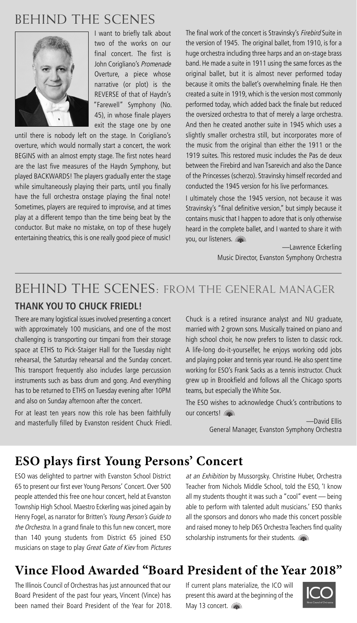## BEHIND THE SCENES



I want to briefly talk about two of the works on our final concert. The first is John Corigliano's Promenade Overture, a piece whose narrative (or plot) is the REVERSE of that of Haydn's "Farewell" Symphony (No. 45), in whose finale players exit the stage one by one

until there is nobody left on the stage. In Corigliano's overture, which would normally start a concert, the work BEGINS with an almost empty stage. The first notes heard are the last five measures of the Haydn Symphony, but played BACKWARDS! The players gradually enter the stage while simultaneously playing their parts, until you finally have the full orchestra onstage playing the final note! Sometimes, players are required to improvise, and at times play at a different tempo than the time being beat by the conductor. But make no mistake, on top of these hugely entertaining theatrics, this is one really good piece of music! The final work of the concert is Stravinsky's Firebird Suite in the version of 1945. The original ballet, from 1910, is for a huge orchestra including three harps and an on-stage brass band. He made a suite in 1911 using the same forces as the original ballet, but it is almost never performed today because it omits the ballet's overwhelming finale. He then created a suite in 1919,which is the version most commonly performed today, which added back the finale but reduced the oversized orchestra to that of merely a large orchestra. And then he created another suite in 1945 which uses a slightly smaller orchestra still, but incorporates more of the music from the original than either the 1911 or the 1919 suites. This restored music includes the Pas de deux between the Firebird and Ivan Tsarevich and also the Dance of the Princesses (scherzo). Stravinsky himself recorded and conducted the 1945 version for his live performances.

I ultimately chose the 1945 version, not because it was Stravinsky's "final definitive version," but simply because it contains music that I happen to adore that is only otherwise heard in the complete ballet, and I wanted to share it with you, our listeners.

> —Lawrence Eckerling Music Director, Evanston Symphony Orchestra

## **THANK YOU TO CHUCK FRIEDL!** BEHIND THE SCENES: FROM THE GENERAL MANAGER

There are many logistical issues involved presenting a concert with approximately 100 musicians, and one of the most challenging is transporting our timpani from their storage space at ETHS to Pick-Staiger Hall for the Tuesday night rehearsal, the Saturday rehearsal and the Sunday concert. This transport frequently also includes large percussion instruments such as bass drum and gong. And everything has to be returned to ETHS on Tuesday evening after 10PM and also on Sunday afternoon after the concert.

For at least ten years now this role has been faithfully and masterfully filled by Evanston resident Chuck Friedl. Chuck is a retired insurance analyst and NU graduate, married with 2 grown sons. Musically trained on piano and high school choir, he now prefers to listen to classic rock. A life-long do-it-yourselfer, he enjoys working odd jobs and playing poker and tennis year round. He also spent time working for ESO's Frank Sacks as a tennis instructor. Chuck grew up in Brookfield and follows all the Chicago sports teams, but especially the White Sox.

The ESO wishes to acknowledge Chuck's contributions to our concerts!

> —David Ellis General Manager, Evanston Symphony Orchestra

## **ESO plays first Young Persons' Concert**

ESO was delighted to partner with Evanston School District 65 to present our first ever Young Persons' Concert. Over 500 people attended this free one hour concert, held at Evanston Township High School. Maestro Eckerling was joined again by Henry Fogel, as narrator for Britten's Young Person's Guide to the Orchestra. In a grand finale to this fun new concert, more than 140 young students from District 65 joined ESO musicians on stage to play Great Gate of Kiev from Pictures

at an Exhibition by Mussorgsky. Christine Huber, Orchestra Teacher from Nichols Middle School, told the ESO, 'I know all my students thought it was such a "cool" event — being able to perform with talented adult musicians.' ESO thanks all the sponsors and donors who made this concert possible and raised money to help D65 Orchestra Teachers find quality scholarship instruments for their students.

## **Vince Flood Awarded "Board President of the Year 2018"**

The Illinois Council of Orchestras has just announced that our Board President of the past four years, Vincent (Vince) has been named their Board President of the Year for 2018. If current plans materialize, the ICO will present this award at the beginning of the May 13 concert. and

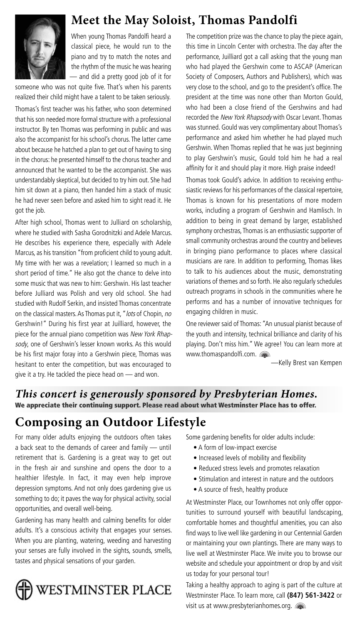

## **Meet the May Soloist, Thomas Pandolfi**

When young Thomas Pandolfi heard a classical piece, he would run to the piano and try to match the notes and the rhythm of the music he was hearing — and did a pretty good job of it for

someone who was not quite five. That's when his parents realized their child might have a talent to be taken seriously.

Thomas's first teacher was his father, who soon determined that his son needed more formal structure with a professional instructor. By ten Thomas was performing in public and was also the accompanist for his school's chorus. The latter came about because he hatched a plan to get out of having to sing in the chorus: he presented himself to the chorus teacher and announced that he wanted to be the accompanist. She was understandably skeptical, but decided to try him out. She had him sit down at a piano, then handed him a stack of music he had never seen before and asked him to sight read it. He got the job.

After high school, Thomas went to Julliard on scholarship, where he studied with Sasha Gorodnitzki and Adele Marcus. He describes his experience there, especially with Adele Marcus, as his transition "from proficient child to young adult. My time with her was a revelation; I learned so much in a short period of time." He also got the chance to delve into some music that was new to him: Gershwin. His last teacher before Julliard was Polish and very old school. She had studied with Rudolf Serkin, and insisted Thomas concentrate on the classical masters. As Thomas put it, "lots of Chopin, no Gershwin!" During his first year at Juilliard, however, the piece for the annual piano competition was New York Rhapsody, one of Gershwin's lesser known works. As this would be his first major foray into a Gershwin piece, Thomas was hesitant to enter the competition, but was encouraged to give it a try. He tackled the piece head on — and won.

The competition prize was the chance to play the piece again, this time in Lincoln Center with orchestra. The day after the performance, Juilliard got a call asking that the young man who had played the Gershwin come to ASCAP (American Society of Composers, Authors and Publishers), which was very close to the school, and go to the president's office. The president at the time was none other than Morton Gould, who had been a close friend of the Gershwins and had recorded the New York Rhapsody with Oscar Levant. Thomas was stunned. Gould was very complimentary about Thomas's performance and asked him whether he had played much Gershwin. When Thomas replied that he was just beginning to play Gershwin's music, Gould told him he had a real affinity for it and should play it more. High praise indeed!

Thomas took Gould's advice. In addition to receiving enthusiastic reviews for his performances of the classical repertoire, Thomas is known for his presentations of more modern works, including a program of Gershwin and Hamlisch. In addition to being in great demand by larger, established symphony orchestras, Thomas is an enthusiastic supporter of small community orchestras around the country and believes in bringing piano performance to places where classical musicians are rare. In addition to performing, Thomas likes to talk to his audiences about the music, demonstrating variations of themes and so forth. He also regularly schedules outreach programs in schools in the communities where he performs and has a number of innovative techniques for engaging children in music.

One reviewer said of Thomas: "An unusual pianist because of the youth and intensity, technical brilliance and clarity of his playing. Don't miss him." We agree! You can learn more at www.thomaspandolfi.com.

—Kelly Brest van Kempen

### *This concert is generously sponsored by Presbyterian Homes.* **We appreciate their continuing support. Please read about what Westminster Place has to offer.**

## **Composing an Outdoor Lifestyle**

For many older adults enjoying the outdoors often takes a back seat to the demands of career and family — until retirement that is. Gardening is a great way to get out in the fresh air and sunshine and opens the door to a healthier lifestyle. In fact, it may even help improve depression symptoms. And not only does gardening give us something to do; it paves the way for physical activity, social opportunities, and overall well-being.

Gardening has many health and calming benefits for older adults. It's a conscious activity that engages your senses. When you are planting, watering, weeding and harvesting your senses are fully involved in the sights, sounds, smells, tastes and physical sensations of your garden.



Some gardening benefits for older adults include:

- A form of low-impact exercise
- Increased levels of mobility and flexibility
- Reduced stress levels and promotes relaxation
- Stimulation and interest in nature and the outdoors
- A source of fresh, healthy produce

At Westminster Place, our Townhomes not only offer opportunities to surround yourself with beautiful landscaping, comfortable homes and thoughtful amenities, you can also find ways to live well like gardening in our Centennial Garden or maintaining your own plantings. There are many ways to live well at Westminster Place. We invite you to browse our website and schedule your appointment or drop by and visit us today for your personal tour!

Taking a healthy approach to aging is part of the culture at Westminster Place. To learn more, call **(847) 561-3422** or visit us at www.presbyterianhomes.org. **state**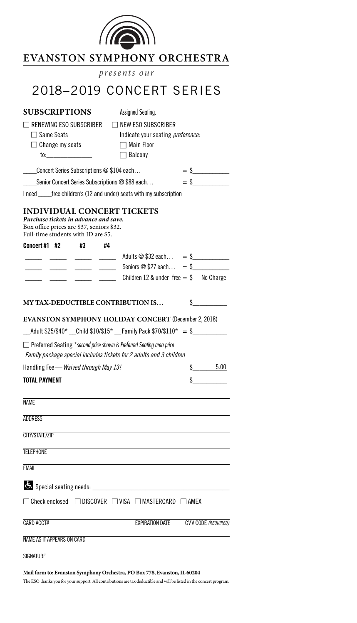

| <b>EVANSTON SYMPHONY ORCHESTRA</b> |                           |  |  |  |  |
|------------------------------------|---------------------------|--|--|--|--|
| presents our                       |                           |  |  |  |  |
|                                    | 2018-2019 CONCERT SERIES  |  |  |  |  |
| <b>SUBSCRIPTIONS</b>               | Assigned Seating.         |  |  |  |  |
| $\Box$ RENEWING ESO SUBSCRIBER     | $\Box$ NEW ESO SUBSCRIBER |  |  |  |  |

Change my seats □ Main Floor

□ Same Seats Indicate your seating *preference:* 

to:\_\_\_\_\_\_\_\_\_\_\_\_\_ □ Balcony

 $\text{Concert Series Subscripts } \textcircled{a} $104 \text{ each} \dots = $$ 

Senior Concert Series Subscriptions  $@$  \$88 each...  $=$  \$

I need \_\_\_\_\_free children's (12 and under) seats with my subscription

#### **INDIVIDUAL CONCERT TICKETS**

*Purchase tickets in advance and save.* Box office prices are \$37, seniors \$32. Full-time students with ID are \$5.

| Concert#1 #2 |  | #4 |                                           |  |
|--------------|--|----|-------------------------------------------|--|
|              |  |    | Adults $@$ \$32 each = \$                 |  |
|              |  |    | Seniors $@$ \$27 each = \$                |  |
|              |  |    | Children 12 & under-free $=$ \$ No Charge |  |
|              |  |    |                                           |  |

#### **MY TAX-DEDUCTIBLE CONTRIBUTION IS…** \$\_\_\_\_\_\_\_\_\_\_

**EVANSTON SYMPHONY HOLIDAY CONCERT** (December 2, 2018)

 $\_$ Adult \$25/\$40\*  $\_$ Child \$10/\$15\*  $\_$  Family Pack \$70/\$110\* = \$

□ Preferred Seating \*second price shown is Preferred Seating area price *Family package special includes tickets for 2 adults and 3 children*

| Handling Fee — Waived through May 13! | 5.00 |
|---------------------------------------|------|
| <b>TOTAL PAYMENT</b>                  |      |

| <b>NAME</b>                                                                     |                                     |
|---------------------------------------------------------------------------------|-------------------------------------|
| ADDRESS                                                                         |                                     |
| CITY/STATE/ZIP                                                                  |                                     |
| <b>TELEPHONE</b>                                                                |                                     |
| <b>EMAIL</b>                                                                    |                                     |
|                                                                                 |                                     |
| $\Box$ Check enclosed $\Box$ DISCOVER $\Box$ VISA $\Box$ MASTERCARD $\Box$ AMEX |                                     |
| CARD ACCT#                                                                      | EXPIRATION DATE CVV CODE (REQUIRED) |
| <b>NAME AS IT APPEARS ON CARD</b>                                               |                                     |
| <b>SIGNATURE</b>                                                                |                                     |

#### **Mail form to: Evanston Symphony Orchestra, PO Box 778, Evanston,IL 60204**

The ESO thanks you for your support. All contributions are tax deductible and will be listed in the concert program.